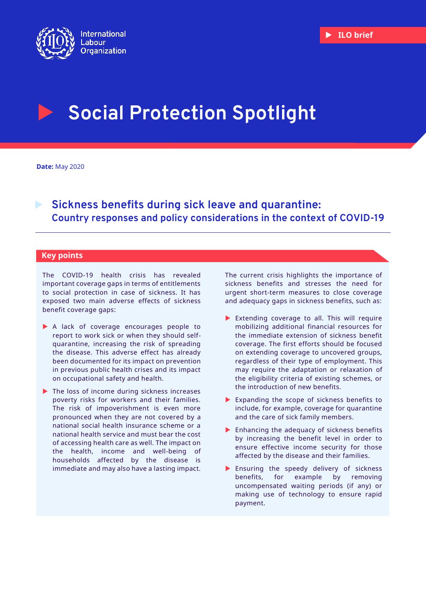

# **Social Protection Spotlight**

**Date:** May 2020

 **Sickness benefits during sick leave and quarantine: Country responses and policy considerations in the context of COVID-19**

# **Key points**

The COVID-19 health crisis has revealed important coverage gaps in terms of entitlements to social protection in case of sickness. It has exposed two main adverse effects of sickness benefit coverage gaps:

- A lack of coverage encourages people to report to work sick or when they should selfquarantine, increasing the risk of spreading the disease. This adverse effect has already been documented for its impact on prevention in previous public health crises and its impact on occupational safety and health.
- ▶ The loss of income during sickness increases poverty risks for workers and their families. The risk of impoverishment is even more pronounced when they are not covered by a national social health insurance scheme or a national health service and must bear the cost of accessing health care as well. The impact on the health, income and well-being of households affected by the disease is immediate and may also have a lasting impact.

The current crisis highlights the importance of sickness benefits and stresses the need for urgent short-term measures to close coverage and adequacy gaps in sickness benefits, such as:

- Extending coverage to all. This will require mobilizing additional financial resources for the immediate extension of sickness benefit coverage. The first efforts should be focused on extending coverage to uncovered groups, regardless of their type of employment. This may require the adaptation or relaxation of the eligibility criteria of existing schemes, or the introduction of new benefits.
- Expanding the scope of sickness benefits to include, for example, coverage for quarantine and the care of sick family members.
- $\blacktriangleright$  Enhancing the adequacy of sickness benefits by increasing the benefit level in order to ensure effective income security for those affected by the disease and their families.
- Ensuring the speedy delivery of sickness benefits, for example by removing uncompensated waiting periods (if any) or making use of technology to ensure rapid payment.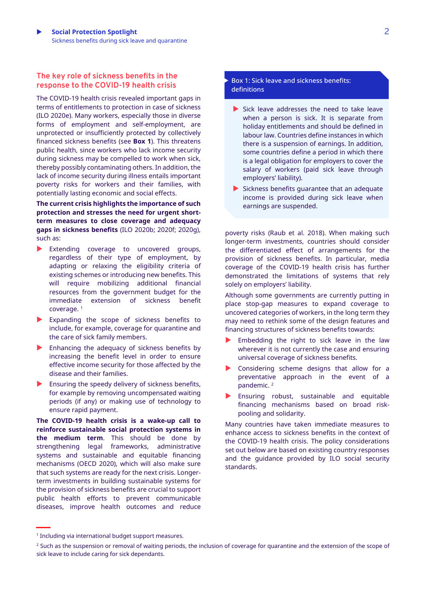# **The key role of sickness benefits in the response to the COVID-19 health crisis**

The COVID-19 health crisis revealed important gaps in terms of entitlements to protection in case of sickness (ILO 2020e). Many workers, especially those in diverse forms of employment and self-employment, are unprotected or insufficiently protected by collectively financed sickness benefits (see **Box 1**). This threatens public health, since workers who lack income security during sickness may be compelled to work when sick, thereby possibly contaminating others. In addition, the lack of income security during illness entails important poverty risks for workers and their families, with potentially lasting economic and social effects.

**The current crisis highlights the importance of such protection and stresses the need for urgent shortterm measures to close coverage and adequacy gaps in sickness benefits** (ILO 2020b; 2020f; 2020g), such as:

- Extending coverage to uncovered groups, regardless of their type of employment, by adapting or relaxing the eligibility criteria of existing schemes or introducing new benefits. This will require mobilizing additional financial resources from the government budget for the immediate extension of sickness benefit coverage. <sup>1</sup>
- Expanding the scope of sickness benefits to include, for example, coverage for quarantine and the care of sick family members.
- Enhancing the adequacy of sickness benefits by increasing the benefit level in order to ensure effective income security for those affected by the disease and their families.
- Ensuring the speedy delivery of sickness benefits, for example by removing uncompensated waiting periods (if any) or making use of technology to ensure rapid payment.

**The COVID-19 health crisis is a wake-up call to reinforce sustainable social protection systems in the medium term**. This should be done by strengthening legal frameworks, administrative systems and sustainable and equitable financing mechanisms (OECD 2020), which will also make sure that such systems are ready for the next crisis. Longerterm investments in building sustainable systems for the provision of sickness benefits are crucial to support public health efforts to prevent communicable diseases, improve health outcomes and reduce

#### Box 1: Sick leave and sickness benefits: definitions

- $\blacktriangleright$  Sick leave addresses the need to take leave when a person is sick. It is separate from holiday entitlements and should be defined in labour law. Countries define instances in which there is a suspension of earnings. In addition, some countries define a period in which there is a legal obligation for employers to cover the salary of workers (paid sick leave through employers' liability).
- $\blacktriangleright$  Sickness benefits quarantee that an adequate income is provided during sick leave when earnings are suspended.

poverty risks (Raub et al. 2018). When making such longer-term investments, countries should consider the differentiated effect of arrangements for the provision of sickness benefits. In particular, media coverage of the COVID-19 health crisis has further demonstrated the limitations of systems that rely solely on employers' liability.

Although some governments are currently putting in place stop-gap measures to expand coverage to uncovered categories of workers, in the long term they may need to rethink some of the design features and financing structures of sickness benefits towards:

- Embedding the right to sick leave in the law wherever it is not currently the case and ensuring universal coverage of sickness benefits.
- Considering scheme designs that allow for a preventative approach in the event of a pandemic. <sup>2</sup>
- Ensuring robust, sustainable and equitable financing mechanisms based on broad riskpooling and solidarity.

Many countries have taken immediate measures to enhance access to sickness benefits in the context of the COVID-19 health crisis. The policy considerations set out below are based on existing country responses and the guidance provided by ILO social security standards.

**\_\_**

<sup>1</sup> Including via international budget support measures.

<sup>&</sup>lt;sup>2</sup> Such as the suspension or removal of waiting periods, the inclusion of coverage for quarantine and the extension of the scope of sick leave to include caring for sick dependants.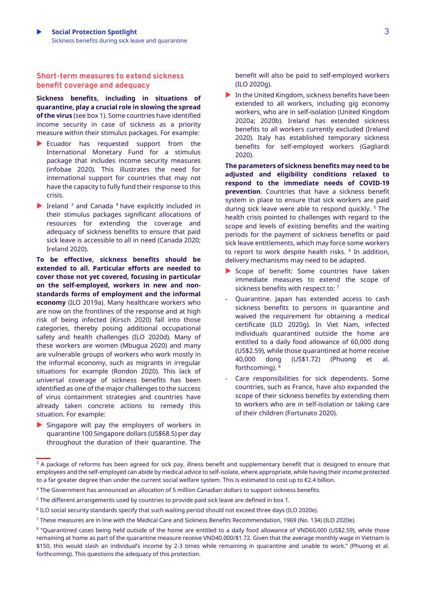# **Short-term measures to extend sickness benefit coverage and adequacy**

**Sickness benefits, including in situations of quarantine, play a crucial role in slowing the spread of the virus** (see box 1). Some countries have identified income security in case of sickness as a priority measure within their stimulus packages. For example:

- Ecuador has requested support from the International Monetary Fund for a stimulus package that includes income security measures (infobae 2020). This illustrates the need for international support for countries that may not have the capacity to fully fund their response to this crisis.
- $\blacktriangleright$  Ireland <sup>3</sup> and Canada <sup>4</sup> have explicitly included in their stimulus packages significant allocations of resources for extending the coverage and adequacy of sickness benefits to ensure that paid sick leave is accessible to all in need (Canada 2020; Ireland 2020).

**To be effective, sickness benefits should be extended to all. Particular efforts are needed to cover those not yet covered, focusing in particular on the self-employed, workers in new and nonstandards forms of employment and the informal economy** (ILO 2019a). Many healthcare workers who are now on the frontlines of the response and at high risk of being infected (Kirsch 2020) fall into those categories, thereby posing additional occupational safety and health challenges (ILO 2020d). Many of these workers are women (Mbugua 2020) and many are vulnerable groups of workers who work mostly in the informal economy, such as migrants in irregular situations for example (Rondon 2020). This lack of universal coverage of sickness benefits has been identified as one of the major challenges to the success of virus containment strategies and countries have already taken concrete actions to remedy this situation. For example:

Singapore will pay the employers of workers in quarantine 100 Singapore dollars (US\$68.5) per day throughout the duration of their quarantine. The **\_\_**

benefit will also be paid to self-employed workers (ILO 2020g).

 In the United Kingdom, sickness benefits have been extended to all workers, including gig economy workers, who are in self-isolation (United Kingdom 2020a; 2020b). Ireland has extended sickness benefits to all workers currently excluded (Ireland 2020). Italy has established temporary sickness benefits for self-employed workers (Gagliardi 2020).

**The parameters of sickness benefits may need to be adjusted and eligibility conditions relaxed to respond to the immediate needs of COVID-19 prevention**. Countries that have a sickness benefit system in place to ensure that sick workers are paid during sick leave were able to respond quickly. <sup>5</sup> The health crisis pointed to challenges with regard to the scope and levels of existing benefits and the waiting periods for the payment of sickness benefits or paid sick leave entitlements, which may force some workers to report to work despite health risks.  $^6$  In addition, delivery mechanisms may need to be adapted.

- Scope of benefit: Some countries have taken immediate measures to extend the scope of sickness benefits with respect to: 7
- Quarantine. Japan has extended access to cash sickness benefits to persons in quarantine and waived the requirement for obtaining a medical certificate (ILO 2020g). In Viet Nam, infected individuals quarantined outside the home are entitled to a daily food allowance of 60,000 dong (US\$2.59), while those quarantined at home receive 40,000 dong (US\$1.72) (Phuong et al. forthcoming). 8
- Care responsibilities for sick dependents. Some countries, such as France, have also expanded the scope of their sickness benefits by extending them to workers who are in self-isolation or taking care of their children (Fortunato 2020).

<sup>&</sup>lt;sup>3</sup> A package of reforms has been agreed for sick pay, illness benefit and supplementary benefit that is designed to ensure that employees and the self-employed can abide by medical advice to self-isolate, where appropriate, while having their income protected to a far greater degree than under the current social welfare system. This is estimated to cost up to €2.4 billion.

<sup>4</sup> The Government has announced an allocation of 5 million Canadian dollars to support sickness benefits.

<sup>5</sup> The different arrangements used by countries to provide paid sick leave are defined in box 1.

 $^6$  ILO social security standards specify that such waiting period should not exceed three days (ILO 2020e).

<sup>7</sup> These measures are in line with the Medical Care and Sickness Benefits Recommendation, 1969 (No. 134) (ILO 2020e).

<sup>8</sup> "Quarantined cases being held outside of the home are entitled to a daily food allowance of VND60,000 (US\$2.59), while those remaining at home as part of the quarantine measure receive VND40,000/\$1.72. Given that the average monthly wage in Vietnam is \$150, this would slash an individual's income by 2-3 times while remaining in quarantine and unable to work." (Phuong et al. forthcoming). This questions the adequacy of this protection.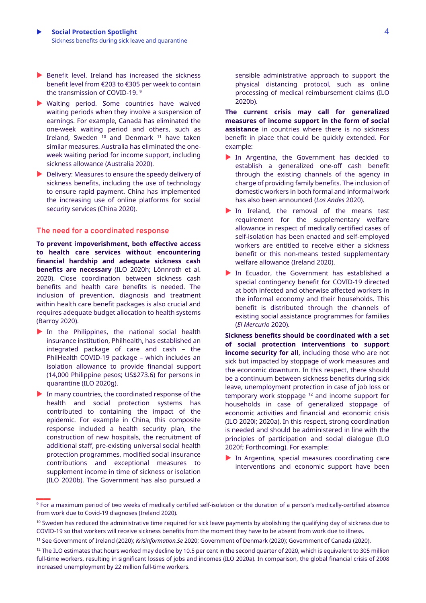- $\blacktriangleright$  Benefit level. Ireland has increased the sickness benefit level from €203 to €305 per week to contain the transmission of COVID-19. 9
- Waiting period. Some countries have waived waiting periods when they involve a suspension of earnings. For example, Canada has eliminated the one-week waiting period and others, such as Ireland, Sweden <sup>10</sup> and Denmark <sup>11</sup> have taken similar measures. Australia has eliminated the oneweek waiting period for income support, including sickness allowance (Australia 2020).
- Delivery: Measures to ensure the speedy delivery of sickness benefits, including the use of technology to ensure rapid payment. China has implemented the increasing use of online platforms for social security services (China 2020).

### **The need for a coordinated response**

**To prevent impoverishment, both effective access to health care services without encountering financial hardship and adequate sickness cash benefits are necessary** (ILO 2020h; Lönnroth et al. 2020). Close coordination between sickness cash benefits and health care benefits is needed. The inclusion of prevention, diagnosis and treatment within health care benefit packages is also crucial and requires adequate budget allocation to health systems (Barroy 2020).

- In the Philippines, the national social health insurance institution, Philhealth, has established an integrated package of care and cash – the PhilHealth COVID-19 package – which includes an isolation allowance to provide financial support (14,000 Philippine pesos; US\$273.6) for persons in quarantine (ILO 2020g).
- In many countries, the coordinated response of the health and social protection systems has contributed to containing the impact of the epidemic. For example in China, this composite response included a health security plan, the construction of new hospitals, the recruitment of additional staff, pre-existing universal social health protection programmes, modified social insurance contributions and exceptional measures to supplement income in time of sickness or isolation (ILO 2020b). The Government has also pursued a

**\_\_**

sensible administrative approach to support the physical distancing protocol, such as online processing of medical reimbursement claims (ILO 2020b).

**The current crisis may call for generalized measures of income support in the form of social assistance** in countries where there is no sickness benefit in place that could be quickly extended. For example:

- In Argentina, the Government has decided to establish a generalized one-off cash benefit through the existing channels of the agency in charge of providing family benefits. The inclusion of domestic workers in both formal and informal work has also been announced (*Los Andes* 2020).
- In Ireland, the removal of the means test requirement for the supplementary welfare allowance in respect of medically certified cases of self-isolation has been enacted and self-employed workers are entitled to receive either a sickness benefit or this non-means tested supplementary welfare allowance (Ireland 2020).
- In Ecuador, the Government has established a special contingency benefit for COVID-19 directed at both infected and otherwise affected workers in the informal economy and their households. This benefit is distributed through the channels of existing social assistance programmes for families (*El Mercurio* 2020).

**Sickness benefits should be coordinated with a set of social protection interventions to support income security for all**, including those who are not sick but impacted by stoppage of work measures and the economic downturn. In this respect, there should be a continuum between sickness benefits during sick leave, unemployment protection in case of job loss or temporary work stoppage <sup>12</sup> and income support for households in case of generalized stoppage of economic activities and financial and economic crisis (ILO 2020i; 2020a). In this respect, strong coordination is needed and should be administered in line with the principles of participation and social dialogue (ILO 2020f; Forthcoming). For example:

In Argentina, special measures coordinating care interventions and economic support have been

<sup>&</sup>lt;sup>9</sup> For a maximum period of two weeks of medically certified self-isolation or the duration of a person's medically-certified absence from work due to Covid-19 diagnoses (Ireland 2020).

 $10$  Sweden has reduced the administrative time required for sick leave payments by abolishing the qualifying day of sickness due to COVID-19 so that workers will receive sickness benefits from the moment they have to be absent from work due to illness.

<sup>11</sup> See Government of Ireland (2020); *Krisinformation.Se* 2020; Government of Denmark (2020); Government of Canada (2020).

 $12$  The ILO estimates that hours worked may decline by 10.5 per cent in the second quarter of 2020, which is equivalent to 305 million full-time workers, resulting in significant losses of jobs and incomes (ILO 2020a). In comparison, the global financial crisis of 2008 increased unemployment by 22 million full-time workers.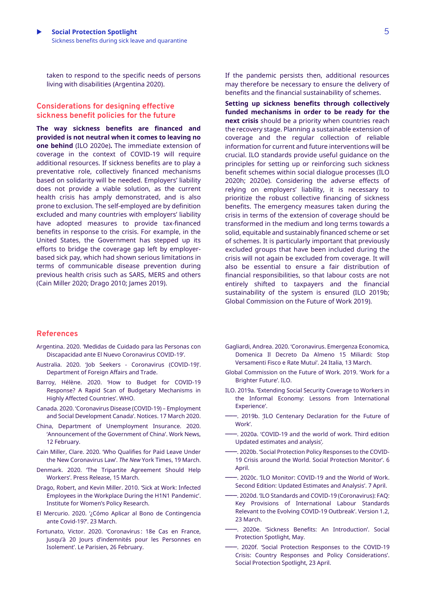taken to respond to the specific needs of persons living with disabilities (Argentina 2020).

### **Considerations for designing effective sickness benefit policies for the future**

**The way sickness benefits are financed and provided is not neutral when it comes to leaving no one behind** (ILO 2020e)**.** The immediate extension of coverage in the context of COVID-19 will require additional resources. If sickness benefits are to play a preventative role, collectively financed mechanisms based on solidarity will be needed. Employers' liability does not provide a viable solution, as the current health crisis has amply demonstrated, and is also prone to exclusion. The self-employed are by definition excluded and many countries with employers' liability have adopted measures to provide tax-financed benefits in response to the crisis. For example, in the United States, the Government has stepped up its efforts to bridge the coverage gap left by employerbased sick pay, which had shown serious limitations in terms of communicable disease prevention during previous health crisis such as SARS, MERS and others (Cain Miller 2020; Drago 2010; James 2019).

If the pandemic persists then, additional resources may therefore be necessary to ensure the delivery of benefits and the financial sustainability of schemes.

**Setting up sickness benefits through collectively funded mechanisms in order to be ready for the next crisis** should be a priority when countries reach the recovery stage. Planning a sustainable extension of coverage and the regular collection of reliable information for current and future interventions will be crucial. ILO standards provide useful guidance on the principles for setting up or reinforcing such sickness benefit schemes within social dialogue processes (ILO 2020h; 2020e). Considering the adverse effects of relying on employers' liability, it is necessary to prioritize the robust collective financing of sickness benefits. The emergency measures taken during the crisis in terms of the extension of coverage should be transformed in the medium and long terms towards a solid, equitable and sustainably financed scheme or set of schemes. It is particularly important that previously excluded groups that have been included during the crisis will not again be excluded from coverage. It will also be essential to ensure a fair distribution of financial responsibilities, so that labour costs are not entirely shifted to taxpayers and the financial sustainability of the system is ensured (ILO 2019b; Global Commission on the Future of Work 2019).

#### **References**

- Argentina. 2020. ['Medidas de Cuidado para las Personas con](https://www.argentina.gob.ar/noticias/medidas-de-cuidado-para-las-personas-con-discapacidad-ante-el-nuevo-coronavirus-covid-19)  [Discapacidad ante El Nuevo Coronavirus COVID-19](https://www.argentina.gob.ar/noticias/medidas-de-cuidado-para-las-personas-con-discapacidad-ante-el-nuevo-coronavirus-covid-19)'.
- Australia. 2020. 'Job Seekers [Coronavirus \(COVID-19\)](https://www.servicesaustralia.gov.au/individuals/subjects/affected-coronavirus-covid-19/job-seekers-coronavirus-covid-19)'. Department of Foreign Affairs and Trade.
- Barroy, Hélène. 2020. '[How to Budget for COVID-19](https://p4h.world/en/node/8821)  [Response? A Rapid Scan of Budgetary Mechanisms in](https://p4h.world/en/node/8821)  [Highly Affected Countries](https://p4h.world/en/node/8821)'. WHO.
- Canada. 2020. '[Coronavirus Disease \(COVID-19\)](https://www.canada.ca/en/employment-social-development/corporate/notices/coronavirus.html)  Employment [and Social Development Canada](https://www.canada.ca/en/employment-social-development/corporate/notices/coronavirus.html)'. Notices. 17 March 2020.
- China, Department of Unemployment Insurance. 2020. '[Announcement of the Government of China](http://www.mohrss.gov.cn/SYrlzyhshbzb/shehuibaozhang/gzdt/202002/t20200212_359661.html)'. Work News, 12 February.
- Cain Miller, Clare. 2020. '[Who Qualifies for Paid Leave Under](https://www.nytimes.com/2020/03/19/upshot/coronavirus-paid-leave-guide.html)  [the New Coronavirus Law](https://www.nytimes.com/2020/03/19/upshot/coronavirus-paid-leave-guide.html)'. *The New* York Times, 19 March.
- Denmark. 2020. '[The Tripartite Agreement Should Help](https://bm.dk/nyheder-presse/pressemeddelelser/2020/03/trepartsaftale-skal-hjaelpe-loenmodtagere/)  [Workers](https://bm.dk/nyheder-presse/pressemeddelelser/2020/03/trepartsaftale-skal-hjaelpe-loenmodtagere/)'. Press Release, 15 March.
- Drago, Robert, and Kevin Miller. 2010. '[Sick at Work: Infected](https://iwpr.org/wp-content/uploads/wpallimport/files/iwpr-export/publications/B284.pdf)  [Employees in the Workplace During the H1N1 Pandemic](https://iwpr.org/wp-content/uploads/wpallimport/files/iwpr-export/publications/B284.pdf)'. Institute for Women's Policy Research.
- El Mercurio. 2020. '¿Cómo A[plicar al Bono de Contingencia](https://ww2.elmercurio.com.ec/2020/03/23/como-aplicar-al-bono-de-contingencia-ante-covid-19/)  [ante Covid-19?](https://ww2.elmercurio.com.ec/2020/03/23/como-aplicar-al-bono-de-contingencia-ante-covid-19/)'. 23 March.
- Fortunato, Victor. 2020. ['Coronavirus : 18e Cas](http://www.leparisien.fr/societe/coronavirus-52-nouveaux-morts-en-chine-onze-deces-en-italie-premier-cas-de-contamination-dans-l-armee-americaine-26-02-2020-8267037.php) en France, [Jusqu'à 20 Jours d'indemnités](http://www.leparisien.fr/societe/coronavirus-52-nouveaux-morts-en-chine-onze-deces-en-italie-premier-cas-de-contamination-dans-l-armee-americaine-26-02-2020-8267037.php) pour les Personnes en [Isolement](http://www.leparisien.fr/societe/coronavirus-52-nouveaux-morts-en-chine-onze-deces-en-italie-premier-cas-de-contamination-dans-l-armee-americaine-26-02-2020-8267037.php)'. Le Parisien, 26 February.
- Gagliardi, Andrea. 2020. '[Coronavirus. Emergenza Economica,](https://www.ilsole24ore.com/art/coronavirus-rimborso-gli-spettacoli-rinvio-laurea-ultime-novita-decreto-ADl1TAD)  [Domenica Il Decreto Da Almeno 15 Miliardi: Stop](https://www.ilsole24ore.com/art/coronavirus-rimborso-gli-spettacoli-rinvio-laurea-ultime-novita-decreto-ADl1TAD)  [Versamenti Fisco e Rate Mutui](https://www.ilsole24ore.com/art/coronavirus-rimborso-gli-spettacoli-rinvio-laurea-ultime-novita-decreto-ADl1TAD)'. 24 Italia, 13 March.
- Global Commission on the Future of Work. 2019. '[Work for a](https://www.ilo.org/wcmsp5/groups/public/---dgreports/---cabinet/documents/publication/wcms_662410.pdf)  [Brighter Future](https://www.ilo.org/wcmsp5/groups/public/---dgreports/---cabinet/documents/publication/wcms_662410.pdf)'. ILO.
- ILO. 2019a. '[Extending Social Security Coverage to Workers in](http://informaleconomy.social-protection.org/)  [the Informal Economy: Lessons from International](http://informaleconomy.social-protection.org/)  [Experience](http://informaleconomy.social-protection.org/)'.
- –––. 2019b. '[ILO Centenary Declaration for the Future of](https://www.ilo.org/wcmsp5/groups/public/@ed_norm/@relconf/documents/meetingdocument/wcms_711674.pdf)  [Work](https://www.ilo.org/wcmsp5/groups/public/@ed_norm/@relconf/documents/meetingdocument/wcms_711674.pdf)'.
- –––. 2020a. '[COVID-19 and the world of work. Third edition](https://www.ilo.org/wcmsp5/groups/public/@dgreports/@dcomm/documents/briefingnote/wcms_743146.pdf)  [Updated estimates and analysis](https://www.ilo.org/wcmsp5/groups/public/@dgreports/@dcomm/documents/briefingnote/wcms_743146.pdf)'.
- –––. 2020b. '[Social Protection Policy Responses to the COVID-](https://www.social-protection.org/gimi/ShowWiki.action?id=3417)[19 Crisis around the World. Social Protection Monitor](https://www.social-protection.org/gimi/ShowWiki.action?id=3417)'. 6 April.
- –––. 2020c. '[ILO Monitor: COVID-19 and the World of Work.](https://www.ilo.org/wcmsp5/groups/public/---dgreports/---dcomm/documents/briefingnote/wcms_740877.pdf)  Second Edition: [Updated Estimates and Analysis](https://www.ilo.org/wcmsp5/groups/public/---dgreports/---dcomm/documents/briefingnote/wcms_740877.pdf)'. 7 April.
- –––. 2020d. '[ILO Standards and COVID-19 \(Coronavirus\): FAQ:](https://www.ilo.org/wcmsp5/groups/public/---ed_norm/---normes/documents/publication/wcms_739937.pdf)  [Key Provisions of International Labour Standards](https://www.ilo.org/wcmsp5/groups/public/---ed_norm/---normes/documents/publication/wcms_739937.pdf)  [Relevant to the Evolving COVID-19 Outbreak](https://www.ilo.org/wcmsp5/groups/public/---ed_norm/---normes/documents/publication/wcms_739937.pdf)'. Version 1.2, 23 March.
- –––. 2020e. '[Sickness Benefits: An Introduction](https://www.social-protection.org/gimi/RessourcePDF.action?id=56378)'. Social Protection Spotlight, May.
- –––. 2020f. '[Social Protection Responses to the COVID-19](https://www.social-protection.org/gimi/RessourcePDF.action?id=56044)  [Crisis: Country Responses and Policy Considerations](https://www.social-protection.org/gimi/RessourcePDF.action?id=56044)'. Social Protection Spotlight, 23 April.